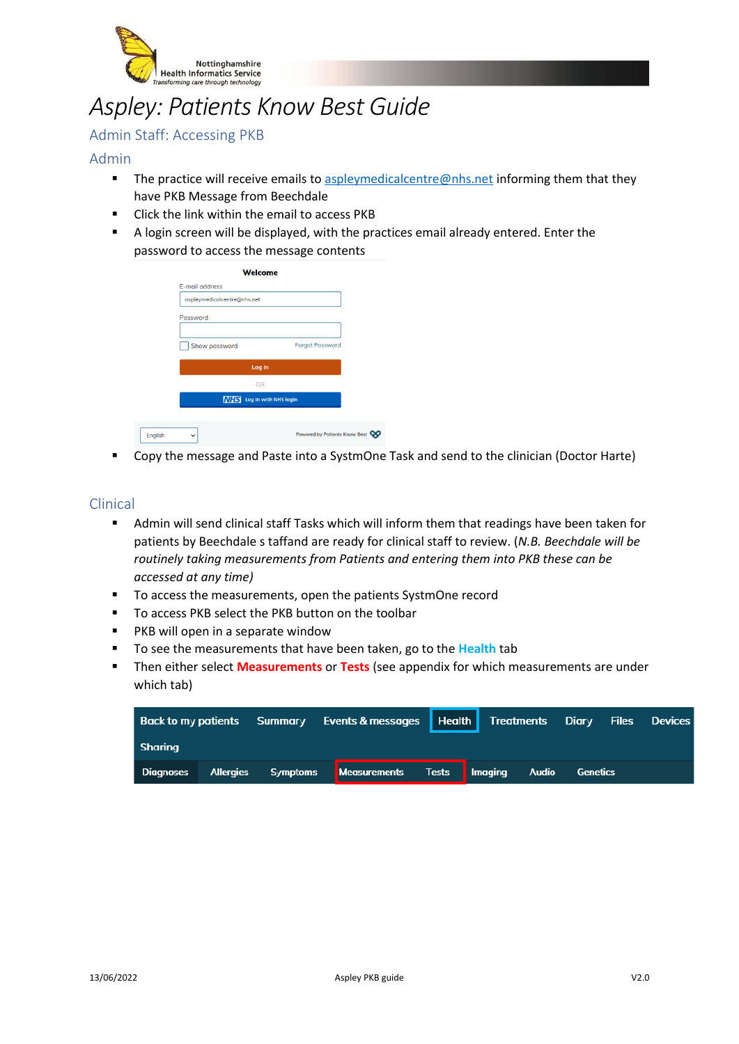

# *Aspley: Patients Know Best Guide*

## Admin Staff: Accessing PKB

### Admin

- **•** The practice will receive emails t[o aspleymedicalcentre@nhs.net](mailto:aspleymedicalcentre@nhs.net) informing them that they have PKB Message from Beechdale
- Click the link within the email to access PKB
- A login screen will be displayed, with the practices email already entered. Enter the password to access the message contents

|         | <b>Welcome</b>                   |                                         |  |  |  |  |
|---------|----------------------------------|-----------------------------------------|--|--|--|--|
|         | E-mail address                   |                                         |  |  |  |  |
|         | aspleymedicalcentre@nhs.net      |                                         |  |  |  |  |
|         | Password                         |                                         |  |  |  |  |
|         |                                  |                                         |  |  |  |  |
|         | Show password                    | <b>Forgot Password</b>                  |  |  |  |  |
|         | Log in                           |                                         |  |  |  |  |
|         | <b>OR</b>                        |                                         |  |  |  |  |
|         | <b>NHS</b> Log in with NHS login |                                         |  |  |  |  |
|         |                                  |                                         |  |  |  |  |
| English | $\check{ }$                      | Powered by Patients Know Best <b>CO</b> |  |  |  |  |

Copy the message and Paste into a SystmOne Task and send to the clinician (Doctor Harte)

#### Clinical

- Admin will send clinical staff Tasks which will inform them that readings have been taken for patients by Beechdale s taffand are ready for clinical staff to review. (*N.B. Beechdale will be routinely taking measurements from Patients and entering them into PKB these can be accessed at any time)*
- To access the measurements, open the patients SystmOne record
- To access PKB select the PKB button on the toolbar
- PKB will open in a separate window
- To see the measurements that have been taken, go to the **Health** tab
- **EXECT** Then either select **Measurements** or Tests (see appendix for which measurements are under which tab)

|           |                    | Back to my patients Summary Events & messages   Health   Treatments Diary Files Devices |  |          |  |
|-----------|--------------------|-----------------------------------------------------------------------------------------|--|----------|--|
| Sharina   |                    |                                                                                         |  |          |  |
| Diagnoses | Allergies Symptoms | Measurements Tests Imaging Audio                                                        |  | Genetics |  |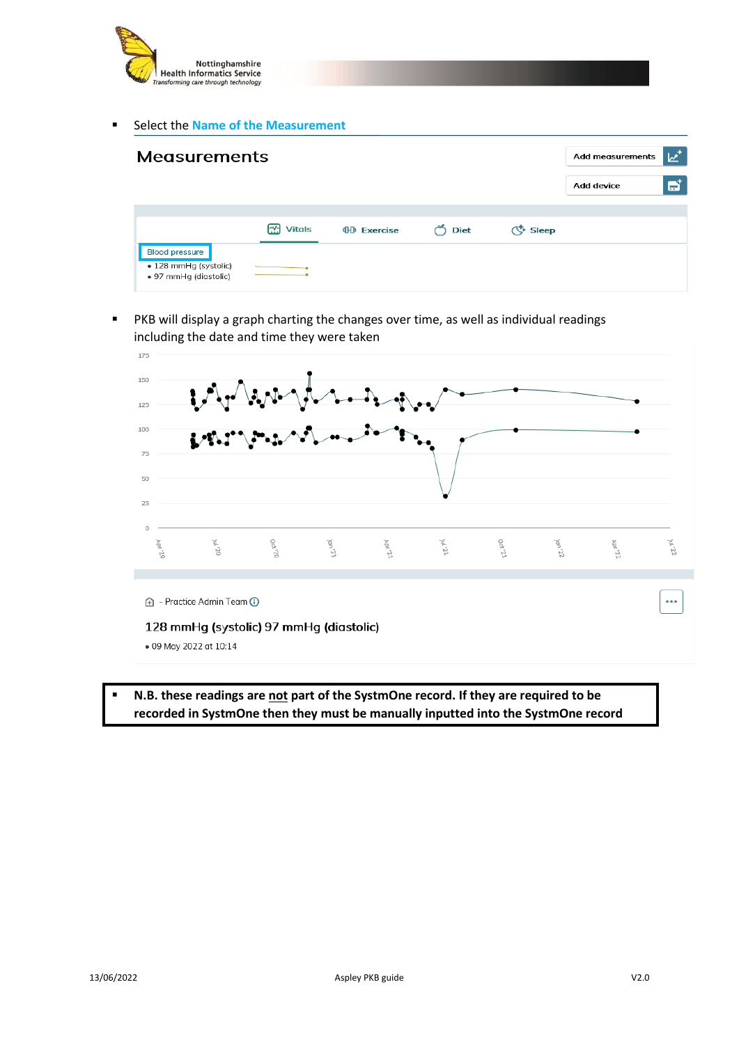

■ Select the **Name of the Measurement** 

| <b>Measurements</b>                                                     |                     |                    |             |          | <b>Add measurements</b> | $\boldsymbol{\nu}^{\star}$ |
|-------------------------------------------------------------------------|---------------------|--------------------|-------------|----------|-------------------------|----------------------------|
|                                                                         |                     |                    |             |          | <b>Add device</b>       | ð                          |
|                                                                         |                     |                    |             |          |                         |                            |
|                                                                         | FМ<br><b>Vitals</b> | <b>OD</b> Exercise | <b>Diet</b> | (、 Sleep |                         |                            |
| <b>Blood pressure</b><br>· 128 mmHg (systolic)<br>• 97 mmHg (diastolic) |                     |                    |             |          |                         |                            |

■ PKB will display a graph charting the changes over time, as well as individual readings including the date and time they were taken



▪ **N.B. these readings are not part of the SystmOne record. If they are required to be recorded in SystmOne then they must be manually inputted into the SystmOne record**